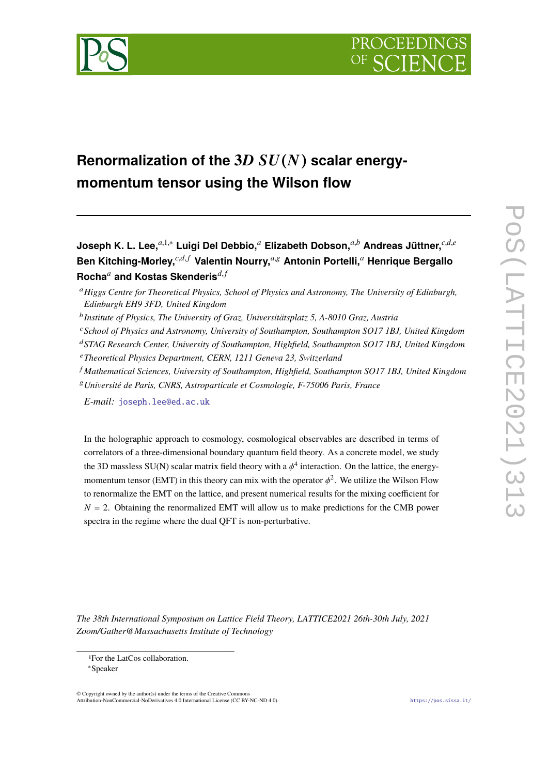

# **Renormalization of the 3**D SU(N) **scalar energymomentum tensor using the Wilson flow**

**Joseph K. L. Lee,***a*,1,<sup>∗</sup> **Luigi Del Debbio,***<sup>a</sup>* **Elizabeth Dobson,***a*,*<sup>b</sup>* **Andreas Jüttner,***c*,*d*,*<sup>e</sup>* **Ben Kitching-Morley,***c*,*d*,*<sup>f</sup>* **Valentin Nourry,***a*,<sup>g</sup> **Antonin Portelli,***<sup>a</sup>* **Henrique Bergallo Rocha***<sup>a</sup>* **and Kostas Skenderis***d*,*<sup>f</sup>*

- <sup>c</sup>*School of Physics and Astronomy, University of Southampton, Southampton SO17 1BJ, United Kingdom*
- <sup>d</sup>*STAG Research Center, University of Southampton, Highfield, Southampton SO17 1BJ, United Kingdom*
- <sup>e</sup>*Theoretical Physics Department, CERN, 1211 Geneva 23, Switzerland*
- <sup>f</sup> *Mathematical Sciences, University of Southampton, Highfield, Southampton SO17 1BJ, United Kingdom*
- <sup>g</sup>*Université de Paris, CNRS, Astroparticule et Cosmologie, F-75006 Paris, France*

*E-mail:* [joseph.lee@ed.ac.uk](mailto:joseph.lee@ed.ac.uk)

In the holographic approach to cosmology, cosmological observables are described in terms of correlators of a three-dimensional boundary quantum field theory. As a concrete model, we study the 3D massless SU(N) scalar matrix field theory with a  $\phi^4$  interaction. On the lattice, the energymomentum tensor (EMT) in this theory can mix with the operator  $\phi^2$ . We utilize the Wilson Flow to renormalize the EMT on the lattice, and present numerical results for the mixing coefficient for  $N = 2$ . Obtaining the renormalized EMT will allow us to make predictions for the CMB power spectra in the regime where the dual QFT is non-perturbative.

*The 38th International Symposium on Lattice Field Theory, LATTICE2021 26th-30th July, 2021 Zoom/Gather@Massachusetts Institute of Technology*

© Copyright owned by the author(s) under the terms of the Creative Commons Attribution-NonCommercial-NoDerivatives 4.0 International License (CC BY-NC-ND 4.0). <https://pos.sissa.it/>

<sup>a</sup>*Higgs Centre for Theoretical Physics, School of Physics and Astronomy, The University of Edinburgh, Edinburgh EH9 3FD, United Kingdom*

b *Institute of Physics, The University of Graz, Universitätsplatz 5, A-8010 Graz, Austria*

<sup>1</sup>For the LatCos collaboration.

<sup>∗</sup>Speaker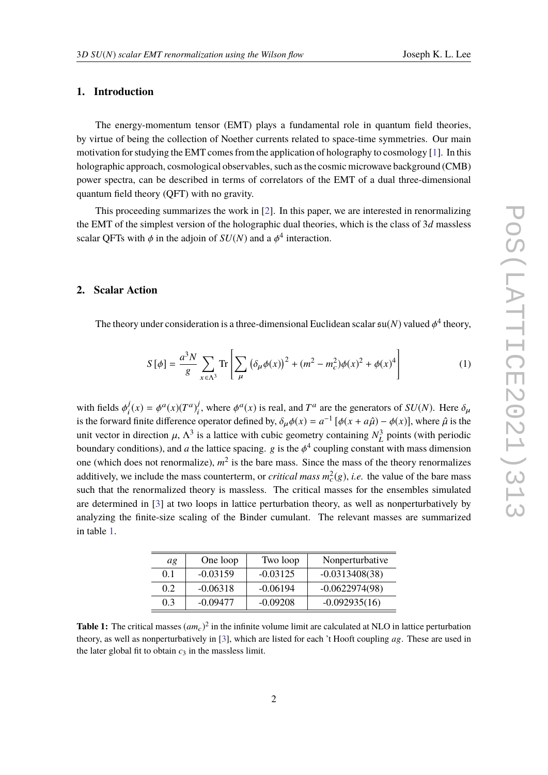# **1. Introduction**

The energy-momentum tensor (EMT) plays a fundamental role in quantum field theories, by virtue of being the collection of Noether currents related to space-time symmetries. Our main motivation for studying the EMT comes from the application of holography to cosmology [\[1\]](#page-8-0). In this holographic approach, cosmological observables, such as the cosmic microwave background (CMB) power spectra, can be described in terms of correlators of the EMT of a dual three-dimensional quantum field theory (QFT) with no gravity.

This proceeding summarizes the work in [\[2\]](#page-8-1). In this paper, we are interested in renormalizing the EMT of the simplest version of the holographic dual theories, which is the class of 3*d* massless scalar QFTs with  $\phi$  in the adjoin of  $SU(N)$  and a  $\phi^4$  interaction.

## **2. Scalar Action**

The theory under consideration is a three-dimensional Euclidean scalar  $\mathfrak{su}(N)$  valued  $\phi^4$  theory,

$$
S[\phi] = \frac{a^3 N}{g} \sum_{x \in \Lambda^3} \text{Tr} \left[ \sum_{\mu} \left( \delta_{\mu} \phi(x) \right)^2 + (m^2 - m_c^2) \phi(x)^2 + \phi(x)^4 \right] \tag{1}
$$

with fields  $\phi_i^j$  $j_i(x) = \phi^a(x) (T^a)_i^j$ <sup>j</sup>, where  $\phi^a(x)$  is real, and  $T^a$  are the generators of  $SU(N)$ . Here  $\delta_\mu$ <br>converted defined by  $\delta_n A(x) = a^{-1} [A(x + a^2), A(x)]$ , where  $\hat{a}$  is the is the forward finite difference operator defined by,  $\delta_{\mu}\phi(x) = a^{-1} [\phi(x + a\hat{\mu}) - \phi(x)]$ , where  $\hat{\mu}$  is the unit vector in direction  $\mu$ ,  $\Delta^3$  is a lettice with which computer containing  $\Delta^3$  points (with periodic unit vector in direction  $\mu$ ,  $\Lambda^3$  is a lattice with cubic geometry containing  $N_L^3$ <br>houndary conditions) and a the lattice gracing, a is the 4<sup>4</sup> equaling constant  $\int_L^3$  points (with periodic boundary conditions), and *a* the lattice spacing. g is the  $\phi^4$  coupling constant with mass dimension one (which does not renormalize),  $m^2$  is the bare mass. Since the mass of the theory renormalizes additively, we include the mass counterterm, or *critical mass m* 2  $c<sup>2</sup>(g)$ , *i.e.* the value of the bare mass such that the renormalized theory is massless. The critical masses for the ensembles simulated are determined in [\[3\]](#page-9-0) at two loops in lattice perturbation theory, as well as nonperturbatively by analyzing the finite-size scaling of the Binder cumulant. The relevant masses are summarized in table [1.](#page-1-0)

| ag  | One loop   | Two loop   | Nonperturbative  |
|-----|------------|------------|------------------|
| 0.1 | $-0.03159$ | $-0.03125$ | $-0.0313408(38)$ |
| 0.2 | $-0.06318$ | $-0.06194$ | $-0.0622974(98)$ |
| 0.3 | $-0.09477$ | $-0.09208$ | $-0.092935(16)$  |

<span id="page-1-0"></span>**Table 1:** The critical masses  $(am_c)^2$  in the infinite volume limit are calculated at NLO in lattice perturbation theory, as well as nonperturbatively in [\[3\]](#page-9-0), which are listed for each 't Hooft coupling *a*g. These are used in the later global fit to obtain  $c_3$  in the massless limit.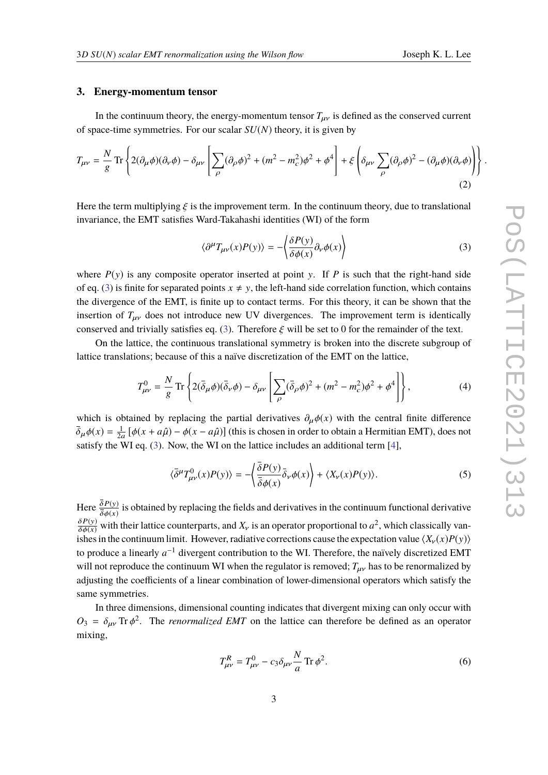#### **3. Energy-momentum tensor**

In the continuum theory, the energy-momentum tensor  $T_{\mu\nu}$  is defined as the conserved current of space-time symmetries. For our scalar *SU*(*N*) theory, it is given by

$$
T_{\mu\nu} = \frac{N}{g} \text{Tr} \left\{ 2(\partial_{\mu}\phi)(\partial_{\nu}\phi) - \delta_{\mu\nu} \left[ \sum_{\rho} (\partial_{\rho}\phi)^2 + (m^2 - m_c^2)\phi^2 + \phi^4 \right] + \xi \left( \delta_{\mu\nu} \sum_{\rho} (\partial_{\rho}\phi)^2 - (\partial_{\mu}\phi)(\partial_{\nu}\phi) \right) \right\}
$$
(2)

Here the term multiplying  $\xi$  is the improvement term. In the continuum theory, due to translational invariance, the EMT satisfies Ward-Takahashi identities (WI) of the form

<span id="page-2-0"></span>
$$
\langle \partial^{\mu} T_{\mu\nu}(x) P(y) \rangle = -\langle \frac{\delta P(y)}{\delta \phi(x)} \partial_{\nu} \phi(x) \rangle \tag{3}
$$

where  $P(y)$  is any composite operator inserted at point y. If P is such that the right-hand side of eq. [\(3\)](#page-2-0) is finite for separated points  $x \neq y$ , the left-hand side correlation function, which contains the divergence of the EMT, is finite up to contact terms. For this theory, it can be shown that the insertion of  $T_{\mu\nu}$  does not introduce new UV divergences. The improvement term is identically conserved and trivially satisfies eq. [\(3\)](#page-2-0). Therefore  $\xi$  will be set to 0 for the remainder of the text.

On the lattice, the continuous translational symmetry is broken into the discrete subgroup of lattice translations; because of this a naïve discretization of the EMT on the lattice,

$$
T_{\mu\nu}^0 = \frac{N}{g} \operatorname{Tr} \left\{ 2(\bar{\delta}_{\mu}\phi)(\bar{\delta}_{\nu}\phi) - \delta_{\mu\nu} \left[ \sum_{\rho} (\bar{\delta}_{\rho}\phi)^2 + (m^2 - m_c^2)\phi^2 + \phi^4 \right] \right\},\tag{4}
$$

which is obtained by replacing the partial derivatives  $\partial_{\mu}\phi(x)$  with the central finite difference  $\overline{\delta}_{\mu}\phi(x) = \frac{1}{2a}$  $\frac{1}{2a} [\phi(x + a\hat{\mu}) - \phi(x - a\hat{\mu})]$  (this is chosen in order to obtain a Hermitian EMT), does not satisfy the WI eq. [\(3\)](#page-2-0). Now, the WI on the lattice includes an additional term [\[4\]](#page-9-1),

$$
\langle \bar{\delta}^{\mu} T^{0}_{\mu\nu}(x) P(y) \rangle = -\left\langle \frac{\bar{\delta} P(y)}{\bar{\delta} \phi(x)} \bar{\delta}_{\nu} \phi(x) \right\rangle + \langle X_{\nu}(x) P(y) \rangle. \tag{5}
$$

Here  $\frac{\delta P(y)}{\delta t(x)}$  is obtained by replacing the fields and derivatives in the continuum functional derivative  $\overline{\delta}\phi(x)$  $\frac{\delta P(y)}{\delta \phi(x)}$  with their lattice counterparts, and  $X_y$  is an operator proportional to  $a^2$ , which classically van-<br>ishes in the continuum limit. However, redictive corrections cause the expectation value  $\langle Y(x)P(y) \rangle$ ishes in the continuum limit. However, radiative corrections cause the expectation value  $\langle X_{\nu}(x)P(y)\rangle$ to produce a linearly  $a^{-1}$  divergent contribution to the WI. Therefore, the naïvely discretized EMT will not reproduce the continuum WI when the regulator is removed;  $T_{\mu\nu}$  has to be renormalized by adjusting the coefficients of a linear combination of lower-dimensional operators which satisfy the same symmetries.

In three dimensions, dimensional counting indicates that divergent mixing can only occur with  $O_3 = \delta_{\mu\nu}$  Tr  $\phi^2$ . The *renormalized EMT* on the lattice can therefore be defined as an operator mixing,

<span id="page-2-1"></span>
$$
T_{\mu\nu}^R = T_{\mu\nu}^0 - c_3 \delta_{\mu\nu} \frac{N}{a} \operatorname{Tr} \phi^2.
$$
 (6)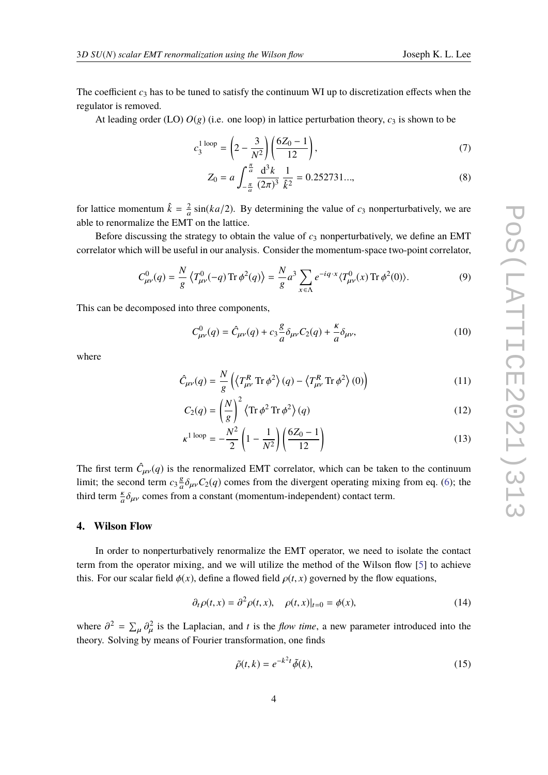The coefficient  $c_3$  has to be tuned to satisfy the continuum WI up to discretization effects when the regulator is removed.

At leading order (LO)  $O(g)$  (i.e. one loop) in lattice perturbation theory,  $c_3$  is shown to be

$$
c_3^{1 \text{ loop}} = \left(2 - \frac{3}{N^2}\right) \left(\frac{6Z_0 - 1}{12}\right),\tag{7}
$$

<span id="page-3-1"></span><span id="page-3-0"></span>
$$
Z_0 = a \int_{-\frac{\pi}{a}}^{\frac{\pi}{a}} \frac{d^3 k}{(2\pi)^3} \frac{1}{\hat{k}^2} = 0.252731...,
$$
 (8)

for lattice momentum  $\hat{k} = \frac{2}{a}$  $\frac{2}{a}$  sin(*ka*/2). By determining the value of  $c_3$  nonperturbatively, we are able to renormalize the EMT on the lattice.

Before discussing the strategy to obtain the value of  $c_3$  nonperturbatively, we define an EMT correlator which will be useful in our analysis. Consider the momentum-space two-point correlator,

$$
C_{\mu\nu}^0(q) = \frac{N}{g} \left\langle T_{\mu\nu}^0(-q) \operatorname{Tr} \phi^2(q) \right\rangle = \frac{N}{g} a^3 \sum_{x \in \Lambda} e^{-iq \cdot x} \langle T_{\mu\nu}^0(x) \operatorname{Tr} \phi^2(0) \rangle. \tag{9}
$$

This can be decomposed into three components,

$$
C_{\mu\nu}^{0}(q) = \hat{C}_{\mu\nu}(q) + c_3 \frac{g}{a} \delta_{\mu\nu} C_2(q) + \frac{\kappa}{a} \delta_{\mu\nu}, \qquad (10)
$$

where

$$
\hat{C}_{\mu\nu}(q) = \frac{N}{g} \left( \langle T_{\mu\nu}^R \operatorname{Tr} \phi^2 \rangle (q) - \langle T_{\mu\nu}^R \operatorname{Tr} \phi^2 \rangle (0) \right)
$$
(11)

$$
C_2(q) = \left(\frac{N}{g}\right)^2 \left\langle \text{Tr}\,\phi^2 \,\text{Tr}\,\phi^2 \right\rangle(q) \tag{12}
$$

$$
\kappa^{1 \text{ loop}} = -\frac{N^2}{2} \left( 1 - \frac{1}{N^2} \right) \left( \frac{6Z_0 - 1}{12} \right) \tag{13}
$$

The first term  $\hat{C}_{\mu\nu}(q)$  is the renormalized EMT correlator, which can be taken to the continuum limit; the second term  $c_3 \frac{g}{q}$  $\frac{g}{a}\delta_{\mu\nu}C_2(q)$  comes from the divergent operating mixing from eq. [\(6\)](#page-2-1); the third term  $\frac{\kappa}{a} \delta_{\mu\nu}$  comes from a constant (momentum-independent) contact term.

#### **4. Wilson Flow**

In order to nonperturbatively renormalize the EMT operator, we need to isolate the contact term from the operator mixing, and we will utilize the method of the Wilson flow [\[5\]](#page-9-2) to achieve this. For our scalar field  $\phi(x)$ , define a flowed field  $\rho(t, x)$  governed by the flow equations,

$$
\partial_t \rho(t, x) = \partial^2 \rho(t, x), \quad \rho(t, x)|_{t=0} = \phi(x), \tag{14}
$$

where  $\partial^2 = \sum_{\mu} \partial_{\mu}^2$  is the Laplacian, and *t* is the *flow time*, a new parameter introduced into the theory. Solving by means of Fourier transformation, and finds theory. Solving by means of Fourier transformation, one finds

$$
\tilde{\rho}(t,k) = e^{-k^2t} \tilde{\phi}(k),\tag{15}
$$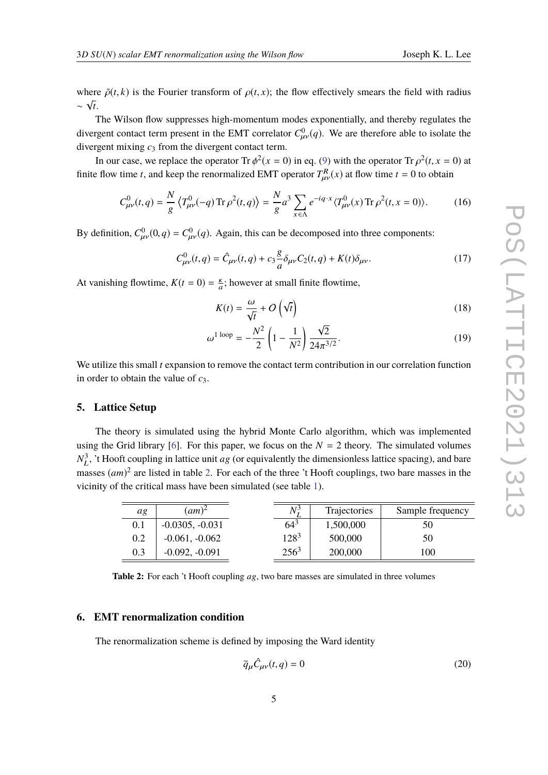where  $\tilde{\rho}(t, k)$  is the Fourier transform of  $\rho(t, x)$ ; the flow effectively smears the field with radius ∼  $\sqrt{t}$ .

The Wilson flow suppresses high-momentum modes exponentially, and thereby regulates the divergent contact term present in the EMT correlator  $C_{\mu\nu}^0(q)$ . We are therefore able to isolate the divergent mixing a from the divergent center term divergent mixing  $c_3$  from the divergent contact term.

In our case, we replace the operator Tr  $\phi^2(x = 0)$  in eq. [\(9\)](#page-3-0) with the operator Tr  $\rho^2(t, x = 0)$  at finite flow time *t*, and keep the renormalized EMT operator  $T_{\mu\nu}^R(x)$  at flow time  $t = 0$  to obtain

$$
C_{\mu\nu}^0(t,q) = \frac{N}{g} \left\langle T_{\mu\nu}^0(-q) \operatorname{Tr} \rho^2(t,q) \right\rangle = \frac{N}{g} a^3 \sum_{x \in \Lambda} e^{-iq \cdot x} \langle T_{\mu\nu}^0(x) \operatorname{Tr} \rho^2(t,x=0) \rangle. \tag{16}
$$

By definition,  $C_{\mu\nu}^0(0,q) = C_{\mu\nu}^0(q)$ . Again, this can be decomposed into three components:

$$
C_{\mu\nu}^{0}(t,q) = \hat{C}_{\mu\nu}(t,q) + c_3 \frac{g}{a} \delta_{\mu\nu} C_2(t,q) + K(t) \delta_{\mu\nu}.
$$
 (17)

At vanishing flowtime,  $K(t = 0) = \frac{k}{a}$ ; however at small finite flowtime,

<span id="page-4-2"></span>
$$
K(t) = \frac{\omega}{\sqrt{t}} + O\left(\sqrt{t}\right)
$$
\n(18)

$$
\omega^{1 \text{ loop}} = -\frac{N^2}{2} \left( 1 - \frac{1}{N^2} \right) \frac{\sqrt{2}}{24\pi^{3/2}}.
$$
 (19)

We utilize this small *t* expansion to remove the contact term contribution in our correlation function in order to obtain the value of *c*3.

#### **5. Lattice Setup**

The theory is simulated using the hybrid Monte Carlo algorithm, which was implemented using the Grid library [\[6\]](#page-9-3). For this paper, we focus on the  $N = 2$  theory. The simulated volumes  $N_I^3$  $_L^3$ , 't Hooft coupling in lattice unit *ag* (or equivalently the dimensionless lattice spacing), and bare masses  $(am)^2$  are listed in table [2.](#page-4-0) For each of the three 't Hooft couplings, two bare masses in the vicinity of the critical mass have been simulated (see table [1\)](#page-1-0).

<span id="page-4-0"></span>

| ag  | $(am)^2$          | Ν <sup>3</sup> | <b>Trajectories</b> | Sample frequency |
|-----|-------------------|----------------|---------------------|------------------|
| 0.1 | $-0.0305, -0.031$ | $64^{3}$       | 1,500,000           | 50               |
| 0.2 | $-0.061, -0.062$  | $128^{3}$      | 500,000             | 50               |
| 0.3 | $-0.092, -0.091$  | $256^3$        | 200,000             | 100              |

**Table 2:** For each 't Hooft coupling *a*g, two bare masses are simulated in three volumes

#### **6. EMT renormalization condition**

The renormalization scheme is defined by imposing the Ward identity

<span id="page-4-1"></span>
$$
\bar{q}_{\mu}\hat{C}_{\mu\nu}(t,q) = 0
$$
\n(20)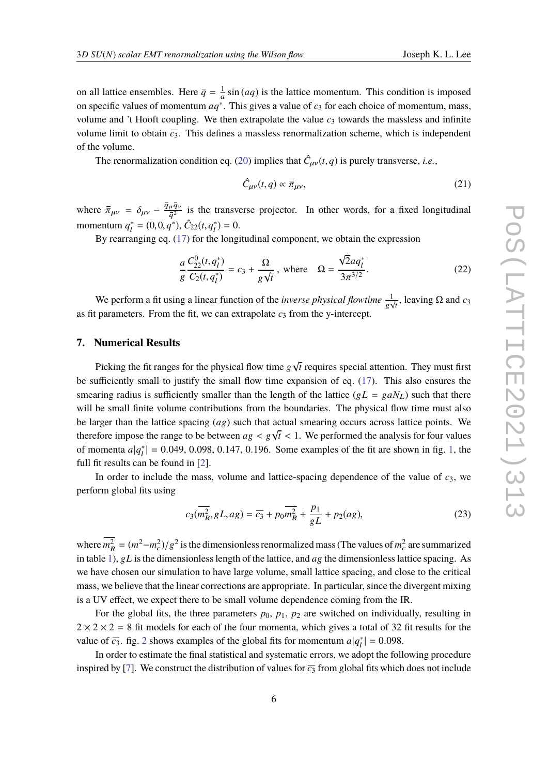on all lattice ensembles. Here  $\bar{q} = \frac{1}{q}$  $\frac{1}{a}$  sin (*aq*) is the lattice momentum. This condition is imposed on specific values of momentum  $aq^*$ . This gives a value of  $c_3$  for each choice of momentum, mass, volume and 't Hooft coupling. We then extrapolate the value  $c_3$  towards the massless and infinite volume limit to obtain  $\bar{c}_3$ . This defines a massless renormalization scheme, which is independent of the volume.

The renormalization condition eq. [\(20\)](#page-4-1) implies that  $\hat{C}_{\mu\nu}(t,q)$  is purely transverse, *i.e.*,

<span id="page-5-0"></span>
$$
\hat{C}_{\mu\nu}(t,q) \propto \bar{\pi}_{\mu\nu},\tag{21}
$$

where  $\bar{\pi}_{\mu\nu} = \delta_{\mu\nu} - \frac{\bar{q}_{\mu}\bar{q}_{\nu}}{\bar{q}^2}$  is the transverse projector. In other words, for a fixed longitudinal momentum *q* ∗  $\hat{C}_{1}^{*} = (0, 0, q^{*}), \hat{C}_{22}(t, q^{*})$  $\binom{1}{l} = 0.$ 

By rearranging eq. [\(17\)](#page-4-2) for the longitudinal component, we obtain the expression

$$
\frac{a}{g} \frac{C_{22}^{0}(t, q_{l}^{*})}{C_{2}(t, q_{l}^{*})} = c_{3} + \frac{\Omega}{g\sqrt{t}}, \text{ where } \Omega = \frac{\sqrt{2}aq_{l}^{*}}{3\pi^{3/2}}.
$$
\n(22)

We perform a fit using a linear function of the *inverse physical flowtime*  $\frac{1}{g\sqrt{t}}$ , leaving  $\Omega$  and  $c_3$ as fit parameters. From the fit, we can extrapolate  $c_3$  from the y-intercept.

#### **7. Numerical Results**

Picking the fit ranges for the physical flow time  $g\sqrt{t}$  requires special attention. They must first be sufficiently small to justify the small flow time expansion of eq. [\(17\)](#page-4-2). This also ensures the smearing radius is sufficiently smaller than the length of the lattice  $(gL = gaN_L)$  such that there will be small finite volume contributions from the boundaries. The physical flow time must also be larger than the lattice spacing (*a*g) such that actual smearing occurs across lattice points. We therefore impose the range to be between  $ag < g\sqrt{t} < 1$ . We performed the analysis for four values of momenta  $a|x^*| = 0.040, 0.008, 0.147, 0.106$ . Some symmetry of the fit are about in fig. 1, the of momenta *a*|*q* ∗  $\binom{1}{l} = 0.049, 0.098, 0.147, 0.196$ . Some examples of the fit are shown in fig. [1,](#page-6-0) the full fit results can be found in [\[2\]](#page-8-1).

In order to include the mass, volume and lattice-spacing dependence of the value of *c*3, we perform global fits using

$$
c_3(\overline{m_R^2}, gL, ag) = \overline{c_3} + p_0 \overline{m_R^2} + \frac{p_1}{gL} + p_2(ag),
$$
\n(23)

where  $\overline{m_R^2} = (m^2 - m_c^2)$  $\binom{2}{c}/g^2$  is the dimensionless renormalized mass (The values of  $m_c^2$  $c<sub>c</sub><sup>2</sup>$  are summarized in table [1\)](#page-1-0), g*L* is the dimensionless length of the lattice, and *a*g the dimensionless lattice spacing. As we have chosen our simulation to have large volume, small lattice spacing, and close to the critical mass, we believe that the linear corrections are appropriate. In particular, since the divergent mixing is a UV effect, we expect there to be small volume dependence coming from the IR.

For the global fits, the three parameters  $p_0$ ,  $p_1$ ,  $p_2$  are switched on individually, resulting in  $2 \times 2 \times 2 = 8$  fit models for each of the four momenta, which gives a total of 32 fit results for the value of  $\overline{c_3}$ . fig. [2](#page-6-1) shows examples of the global fits for momentum  $a|q_l^*$  $|l_l^*| = 0.098.$ 

In order to estimate the final statistical and systematic errors, we adopt the following procedure inspired by [\[7\]](#page-9-4). We construct the distribution of values for  $\overline{c_3}$  from global fits which does not include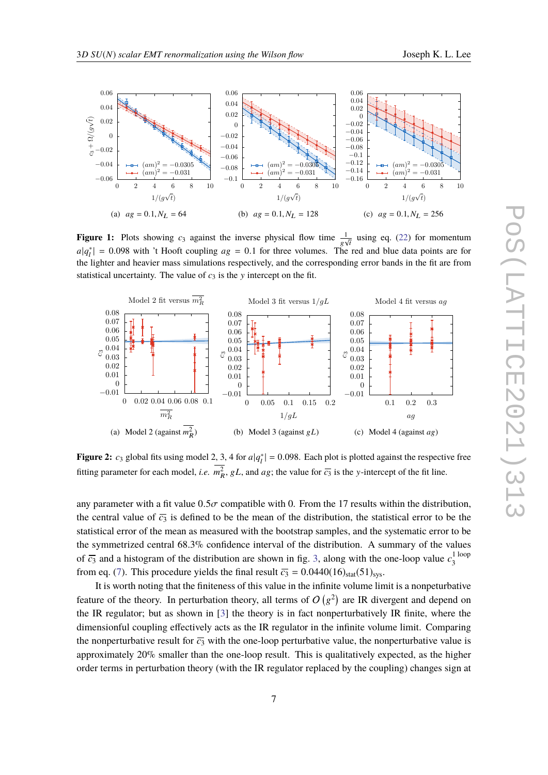<span id="page-6-0"></span>

**Figure 1:** Plots showing  $c_3$  against the inverse physical flow time  $\frac{1}{g\sqrt{t}}$  using eq. [\(22\)](#page-5-0) for momentum  $a|q_t^*| = 0.098$  with 't Hooft coupling  $a_8 = 0.1$  for three volumes. The red and blue data points are for the lighter and beguing meas simulations respectively and the corresponding error bands in the fit are from the lighter and heavier mass simulations respectively, and the corresponding error bands in the fit are from statistical uncertainty. The value of  $c_3$  is the y intercept on the fit.

<span id="page-6-1"></span>

**Figure 2:**  $c_3$  global fits using model 2, 3, 4 for  $a|q_t^*| = 0.098$ . Each plot is plotted against the respective free fitting parameter for each model, *i.e.*  $\overline{m_R^2}$ , gL, and *ag*; the value for  $\overline{c_3}$  is the y-intercept of the fit line.

any parameter with a fit value  $0.5\sigma$  compatible with 0. From the 17 results within the distribution, the central value of  $\overline{c_3}$  is defined to be the mean of the distribution, the statistical error to be the statistical error of the mean as measured with the bootstrap samples, and the systematic error to be the symmetrized central 68.3% confidence interval of the distribution. A summary of the values of  $\overline{c_3}$  and a histogram of the distribution are shown in fig. [3,](#page-7-0) along with the one-loop value  $c_3^{\text{1 loop}}$ .<br>3 from eq. [\(7\)](#page-3-1). This procedure yields the final result  $\overline{c_3} = 0.0440(16)_{stat}(51)_{sys}$ .

It is worth noting that the finiteness of this value in the infinite volume limit is a nonpeturbative feature of the theory. In perturbation theory, all terms of  $O(g^2)$  are IR divergent and depend on the IR regulator; but as shown in [\[3\]](#page-9-0) the theory is in fact nonperturbatively IR finite, where the dimensionful coupling effectively acts as the IR regulator in the infinite volume limit. Comparing the nonperturbative result for  $\overline{c_3}$  with the one-loop perturbative value, the nonperturbative value is approximately 20% smaller than the one-loop result. This is qualitatively expected, as the higher order terms in perturbation theory (with the IR regulator replaced by the coupling) changes sign at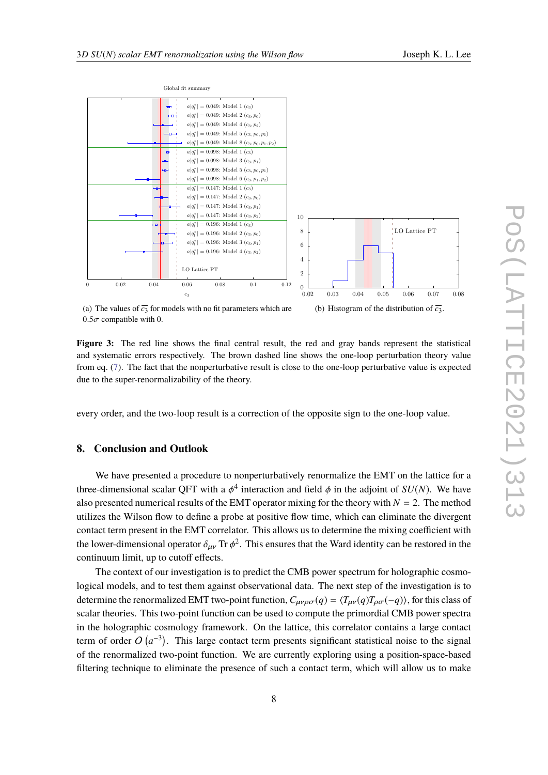<span id="page-7-0"></span>

(a) The values of  $\overline{c_3}$  for models with no fit parameters which are  $0.5\sigma$  compatible with 0.

**Figure 3:** The red line shows the final central result, the red and gray bands represent the statistical and systematic errors respectively. The brown dashed line shows the one-loop perturbation theory value from eq. [\(7\)](#page-3-1). The fact that the nonperturbative result is close to the one-loop perturbative value is expected due to the super-renormalizability of the theory.

every order, and the two-loop result is a correction of the opposite sign to the one-loop value.

## **8. Conclusion and Outlook**

We have presented a procedure to nonperturbatively renormalize the EMT on the lattice for a three-dimensional scalar QFT with a  $\phi^4$  interaction and field  $\phi$  in the adjoint of *SU(N)*. We have also presented numerical results of the EMT operator mixing for the theory with  $N = 2$ . The method utilizes the Wilson flow to define a probe at positive flow time, which can eliminate the divergent contact term present in the EMT correlator. This allows us to determine the mixing coefficient with the lower-dimensional operator  $\delta_{\mu\nu}$  Tr  $\phi^2$ . This ensures that the Ward identity can be restored in the continuum limit, up to outoff offects. continuum limit, up to cutoff effects.

The context of our investigation is to predict the CMB power spectrum for holographic cosmological models, and to test them against observational data. The next step of the investigation is to determine the renormalized EMT two-point function,  $C_{\mu\nu\rho\sigma}(q) = \langle T_{\mu\nu}(q)T_{\rho\sigma}(-q)\rangle$ , for this class of scalar theories. This two-point function can be used to compute the primordial CMB power spectra in the holographic cosmology framework. On the lattice, this correlator contains a large contact term of order  $O(a^{-3})$ . This large contact term presents significant statistical noise to the signal of the renormalized two-point function. We are currently exploring using a position-space-based filtering technique to eliminate the presence of such a contact term, which will allow us to make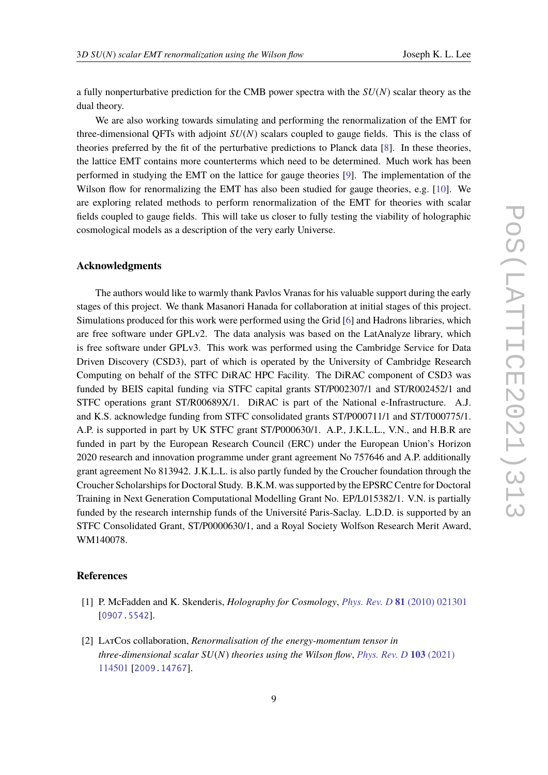a fully nonperturbative prediction for the CMB power spectra with the *SU*(*N*) scalar theory as the dual theory.

We are also working towards simulating and performing the renormalization of the EMT for three-dimensional QFTs with adjoint *SU*(*N*) scalars coupled to gauge fields. This is the class of theories preferred by the fit of the perturbative predictions to Planck data [\[8\]](#page-9-5). In these theories, the lattice EMT contains more counterterms which need to be determined. Much work has been performed in studying the EMT on the lattice for gauge theories [\[9\]](#page-9-6). The implementation of the Wilson flow for renormalizing the EMT has also been studied for gauge theories, e.g. [\[10\]](#page-9-7). We are exploring related methods to perform renormalization of the EMT for theories with scalar fields coupled to gauge fields. This will take us closer to fully testing the viability of holographic cosmological models as a description of the very early Universe.

## **Acknowledgments**

The authors would like to warmly thank Pavlos Vranas for his valuable support during the early stages of this project. We thank Masanori Hanada for collaboration at initial stages of this project. Simulations produced for this work were performed using the Grid [\[6\]](#page-9-3) and Hadrons libraries, which are free software under GPLv2. The data analysis was based on the LatAnalyze library, which is free software under GPLv3. This work was performed using the Cambridge Service for Data Driven Discovery (CSD3), part of which is operated by the University of Cambridge Research Computing on behalf of the STFC DiRAC HPC Facility. The DiRAC component of CSD3 was funded by BEIS capital funding via STFC capital grants ST/P002307/1 and ST/R002452/1 and STFC operations grant ST/R00689X/1. DiRAC is part of the National e-Infrastructure. A.J. and K.S. acknowledge funding from STFC consolidated grants ST/P000711/1 and ST/T000775/1. A.P. is supported in part by UK STFC grant ST/P000630/1. A.P., J.K.L.L., V.N., and H.B.R are funded in part by the European Research Council (ERC) under the European Union's Horizon 2020 research and innovation programme under grant agreement No 757646 and A.P. additionally grant agreement No 813942. J.K.L.L. is also partly funded by the Croucher foundation through the Croucher Scholarships for Doctoral Study. B.K.M. was supported by the EPSRC Centre for Doctoral Training in Next Generation Computational Modelling Grant No. EP/L015382/1. V.N. is partially funded by the research internship funds of the Université Paris-Saclay. L.D.D. is supported by an STFC Consolidated Grant, ST/P0000630/1, and a Royal Society Wolfson Research Merit Award, WM140078.

### **References**

- <span id="page-8-0"></span>[1] P. McFadden and K. Skenderis, *Holography for Cosmology*, *[Phys. Rev. D](https://doi.org/10.1103/PhysRevD.81.021301)* **81** (2010) 021301 [[0907.5542](https://arxiv.org/abs/0907.5542)].
- <span id="page-8-1"></span>[2] LatCos collaboration, *Renormalisation of the energy-momentum tensor in three-dimensional scalar SU*(*N*) *theories using the Wilson flow*, *[Phys. Rev. D](https://doi.org/10.1103/PhysRevD.103.114501)* **103** (2021) [114501](https://doi.org/10.1103/PhysRevD.103.114501) [[2009.14767](https://arxiv.org/abs/2009.14767)].